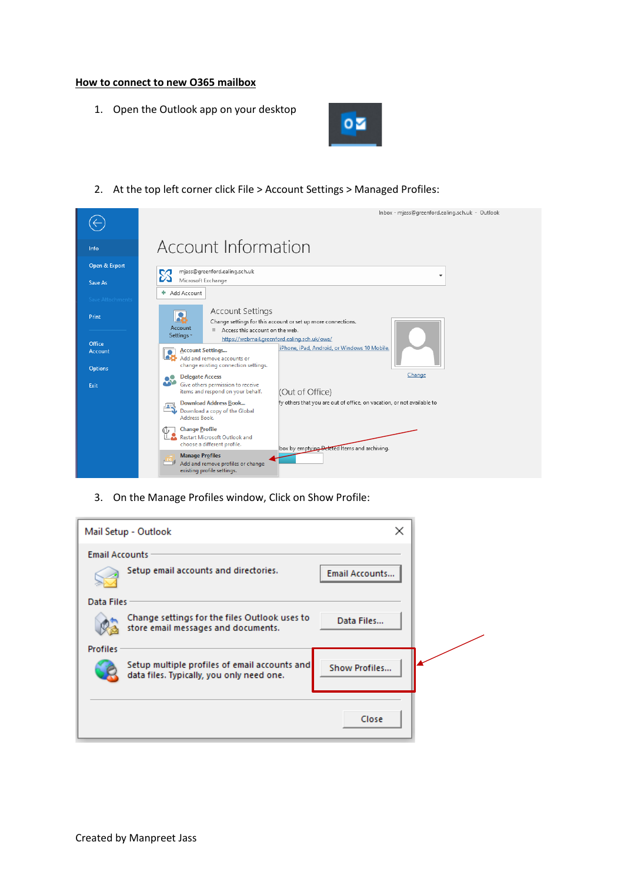## **How to connect to new O365 mailbox**

1. Open the Outlook app on your desktop



2. At the top left corner click File > Account Settings > Managed Profiles:

|                                     | Inbox - mjass@greenford.ealing.sch.uk - Outlook                                                                                                                                                                                                |
|-------------------------------------|------------------------------------------------------------------------------------------------------------------------------------------------------------------------------------------------------------------------------------------------|
| Info                                | Account Information                                                                                                                                                                                                                            |
| Open & Export                       | mjass@greenford.ealing.sch.uk<br>cд<br>$\overline{\phantom{a}}$<br>Microsoft Exchange                                                                                                                                                          |
| Save As<br><b>Save Attachments</b>  | + Add Account                                                                                                                                                                                                                                  |
| Print                               | <b>Account Settings</b><br>$\bullet$<br>a s<br>Change settings for this account or set up more connections.<br>Account                                                                                                                         |
| Office<br>Account<br><b>Options</b> | Access this account on the web.<br>Settings *<br>https://webmail.greenford.ealing.sch.uk/owa/<br>iPhone, iPad, Android, or Windows 10 Mobile.<br><b>Account Settings</b><br>Add and remove accounts or<br>change existing connection settings. |
| Exit                                | Change<br><b>Delegate Access</b><br>Give others permission to receive<br>(Out of Office)<br>items and respond on your behalf.                                                                                                                  |
|                                     | fy others that you are out of office, on vacation, or not available to<br><b>Download Address Book</b><br>瘋<br>Download a copy of the Global<br>Address Book.                                                                                  |
|                                     | <b>Change Profile</b><br>O<br><b>Restart Microsoft Outlook and</b><br>choose a different profile.<br>box by emptying Deleted Items and archiving.                                                                                              |
|                                     | <b>Manage Profiles</b><br>Add and remove profiles or change<br>existing profile settings.                                                                                                                                                      |

3. On the Manage Profiles window, Click on Show Profile:

| ×<br>Mail Setup - Outlook                                                                                   |  |
|-------------------------------------------------------------------------------------------------------------|--|
| <b>Email Accounts</b>                                                                                       |  |
| Setup email accounts and directories.<br>Email Accounts                                                     |  |
| Data Files                                                                                                  |  |
| Change settings for the files Outlook uses to<br>Data Files<br>store email messages and documents.          |  |
| <b>Profiles</b>                                                                                             |  |
| Setup multiple profiles of email accounts and<br>Show Profiles<br>data files. Typically, you only need one. |  |
|                                                                                                             |  |
| Close                                                                                                       |  |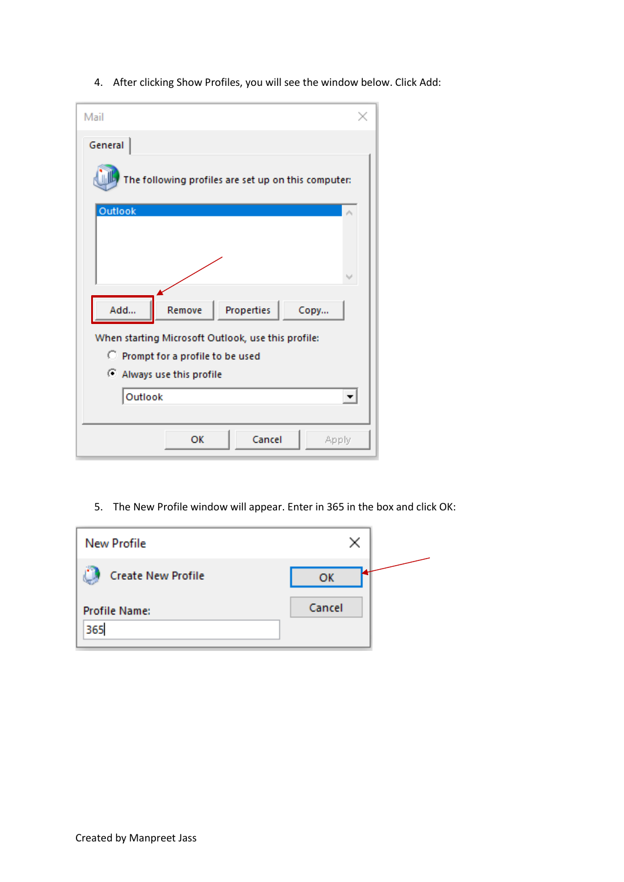4. After clicking Show Profiles, you will see the window below. Click Add:

| Mail                                                |  |  |  |  |
|-----------------------------------------------------|--|--|--|--|
| General                                             |  |  |  |  |
| The following profiles are set up on this computer: |  |  |  |  |
| Outlook                                             |  |  |  |  |
|                                                     |  |  |  |  |
| Add<br>Remove<br>Properties<br>Copy                 |  |  |  |  |
| When starting Microsoft Outlook, use this profile:  |  |  |  |  |
| C Prompt for a profile to be used                   |  |  |  |  |
| Always use this profile                             |  |  |  |  |
| Outlook                                             |  |  |  |  |
|                                                     |  |  |  |  |
| Cancel<br>OK<br>Apply                               |  |  |  |  |

5. The New Profile window will appear. Enter in 365 in the box and click OK:

| <b>New Profile</b>          | ×      |
|-----------------------------|--------|
| <b>Create New Profile</b>   | ОК     |
| <b>Profile Name:</b><br>365 | Cancel |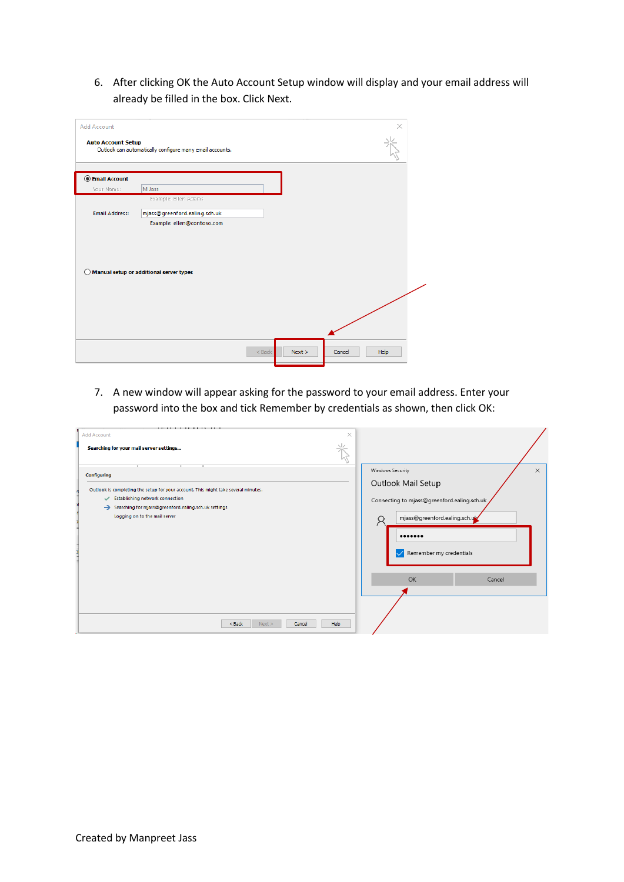6. After clicking OK the Auto Account Setup window will display and your email address will already be filled in the box. Click Next.

| <b>Add Account</b><br><b>Auto Account Setup</b> | Outlook can automatically configure many email accounts. |                  |        | ×    |
|-------------------------------------------------|----------------------------------------------------------|------------------|--------|------|
|                                                 |                                                          |                  |        |      |
| <b>Email Account</b>                            |                                                          |                  |        |      |
| Your Name:                                      | M Jass                                                   |                  |        |      |
|                                                 | Example: Ellen Adams                                     |                  |        |      |
| <b>Email Address:</b>                           | mjass@greenford.ealing.sch.uk                            |                  |        |      |
|                                                 | Example: ellen@contoso.com                               |                  |        |      |
|                                                 |                                                          |                  |        |      |
|                                                 |                                                          |                  |        |      |
|                                                 |                                                          |                  |        |      |
|                                                 | $\bigcirc$ Manual setup or additional server types       |                  |        |      |
|                                                 |                                                          |                  |        |      |
|                                                 |                                                          |                  |        |      |
|                                                 |                                                          |                  |        |      |
|                                                 |                                                          |                  |        |      |
|                                                 |                                                          |                  |        |      |
|                                                 |                                                          |                  |        |      |
|                                                 |                                                          | Next<br>$<$ Back | Cancel | Help |

7. A new window will appear asking for the password to your email address. Enter your password into the box and tick Remember by credentials as shown, then click OK:

| <b>Add Account</b><br>Searching for your mail server settings                                                                                                                                                                        | $\times$                                                                                                                                                                        |
|--------------------------------------------------------------------------------------------------------------------------------------------------------------------------------------------------------------------------------------|---------------------------------------------------------------------------------------------------------------------------------------------------------------------------------|
| <b>Configuring</b><br>Outlook is completing the setup for your account. This might take several minutes.<br>Establishing network connection<br>Searching for mjass@greenford.ealing.sch.uk settings<br>Logging on to the mail server | Windows Security<br>$\times$<br>Outlook Mail Setup<br>Connecting to mjass@greenford.ealing.sch.uk<br>mjass@greenford.ealing.sch.uk<br><br>Remember my credentials<br>$\backsim$ |
| $<$ Back<br>Next ><br>Cancel                                                                                                                                                                                                         | OK<br>Cancel<br>Help                                                                                                                                                            |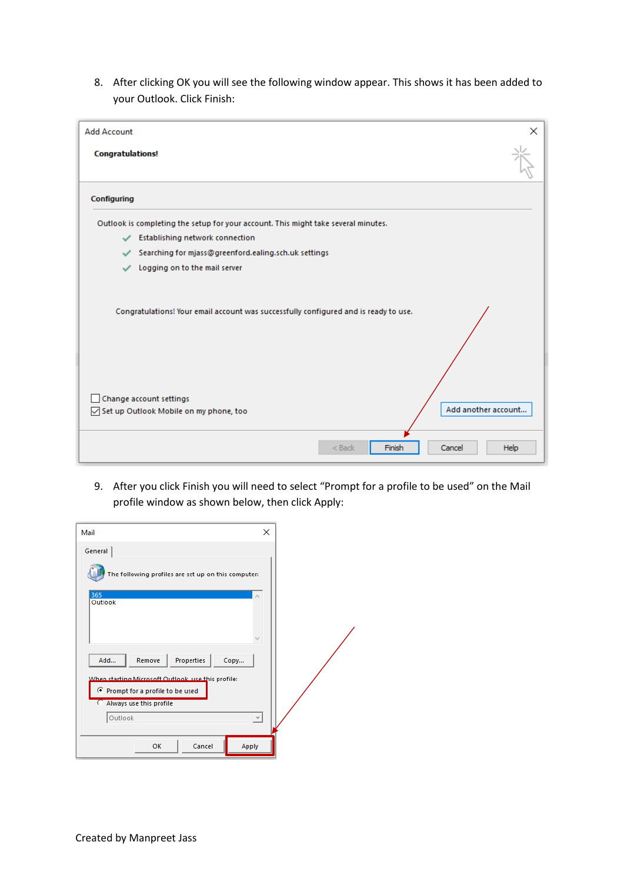8. After clicking OK you will see the following window appear. This shows it has been added to your Outlook. Click Finish:

| <b>Add Account</b>                                                                                                                                                               | ×           |
|----------------------------------------------------------------------------------------------------------------------------------------------------------------------------------|-------------|
| <b>Congratulations!</b>                                                                                                                                                          |             |
| Configuring                                                                                                                                                                      |             |
| Outlook is completing the setup for your account. This might take several minutes.                                                                                               |             |
| Establishing network connection<br>✓                                                                                                                                             |             |
| Searching for mjass@greenford.ealing.sch.uk settings<br>✓                                                                                                                        |             |
| Logging on to the mail server                                                                                                                                                    |             |
| Congratulations! Your email account was successfully configured and is ready to use.<br>Change account settings<br>Add another account<br>Set up Outlook Mobile on my phone, too |             |
| Finish<br>$<$ Back<br>Cancel                                                                                                                                                     | <b>Help</b> |

9. After you click Finish you will need to select "Prompt for a profile to be used" on the Mail profile window as shown below, then click Apply:

| Mail                                                                                                                           | ×             |
|--------------------------------------------------------------------------------------------------------------------------------|---------------|
| General<br>The following profiles are set up on this computer:                                                                 |               |
| 365<br>Outlook                                                                                                                 |               |
| Properties<br>Remove<br>Add<br>Copy<br>When starting Microsoft Outlook, use this profile:<br>C Prompt for a profile to be used |               |
| Always use this profile<br>Outlook<br>Cancel<br>Apply<br>OK                                                                    | $\mathcal{M}$ |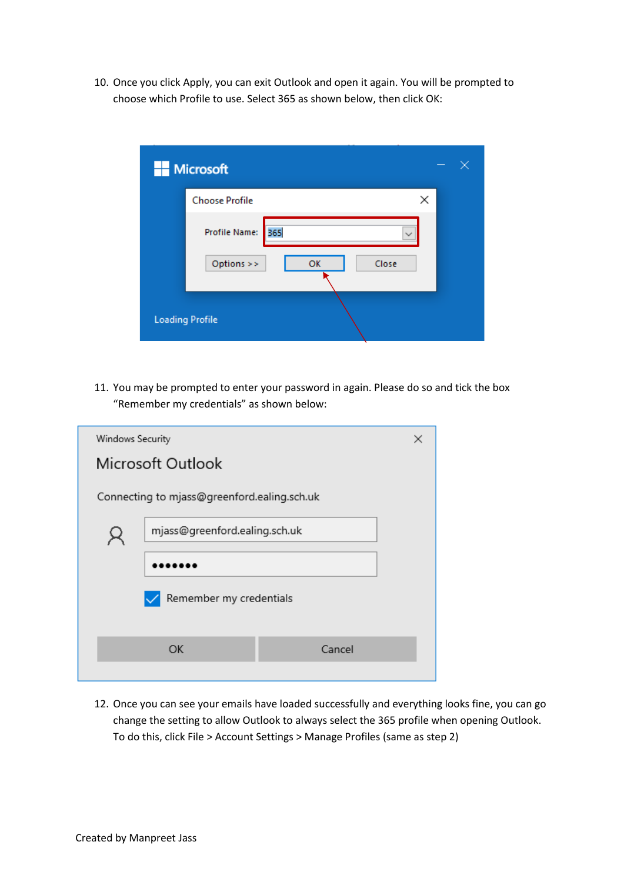10. Once you click Apply, you can exit Outlook and open it again. You will be prompted to choose which Profile to use. Select 365 as shown below, then click OK:

| <b>Microsoft</b>       |    |              |   |
|------------------------|----|--------------|---|
| <b>Choose Profile</b>  |    |              | × |
| 365<br>Profile Name:   |    | $\checkmark$ |   |
| Options >>             | OK | Close        |   |
| <b>Loading Profile</b> |    |              |   |

11. You may be prompted to enter your password in again. Please do so and tick the box "Remember my credentials" as shown below:

| Windows Security        |                                             |        |  |  |
|-------------------------|---------------------------------------------|--------|--|--|
|                         | Microsoft Outlook                           |        |  |  |
|                         | Connecting to mjass@greenford.ealing.sch.uk |        |  |  |
|                         | mjass@greenford.ealing.sch.uk               |        |  |  |
|                         |                                             |        |  |  |
| Remember my credentials |                                             |        |  |  |
|                         | OK                                          | Cancel |  |  |
|                         |                                             |        |  |  |

12. Once you can see your emails have loaded successfully and everything looks fine, you can go change the setting to allow Outlook to always select the 365 profile when opening Outlook. To do this, click File > Account Settings > Manage Profiles (same as step 2)